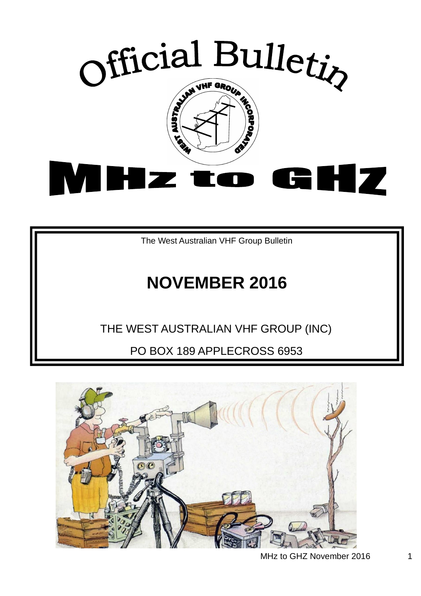

The West Australian VHF Group Bulletin

# **NOVEMBER 2016**

# THE WEST AUSTRALIAN VHF GROUP (INC)

PO BOX 189 APPLECROSS 6953

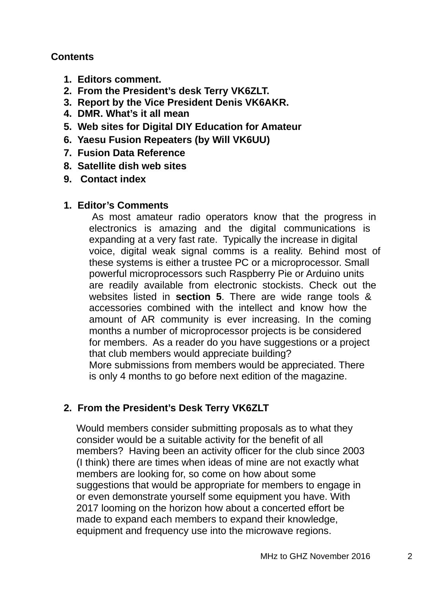#### **Contents**

- **1. Editors comment.**
- **2. From the President's desk Terry VK6ZLT.**
- **3. Report by the Vice President Denis VK6AKR.**
- **4. DMR. What's it all mean**
- **5. Web sites for Digital DIY Education for Amateur**
- **6. Yaesu Fusion Repeaters (by Will VK6UU)**
- **7. Fusion Data Reference**
- **8. Satellite dish web sites**
- **9. Contact index**

#### **1. Editor's Comments**

As most amateur radio operators know that the progress in electronics is amazing and the digital communications is expanding at a very fast rate. Typically the increase in digital voice, digital weak signal comms is a reality. Behind most of these systems is either a trustee PC or a microprocessor. Small powerful microprocessors such Raspberry Pie or Arduino units are readily available from electronic stockists. Check out the websites listed in **section 5**. There are wide range tools & accessories combined with the intellect and know how the amount of AR community is ever increasing. In the coming months a number of microprocessor projects is be considered for members. As a reader do you have suggestions or a project that club members would appreciate building? More submissions from members would be appreciated. There is only 4 months to go before next edition of the magazine.

## **2. From the President's Desk Terry VK6ZLT**

Would members consider submitting proposals as to what they consider would be a suitable activity for the benefit of all members? Having been an activity officer for the club since 2003 (I think) there are times when ideas of mine are not exactly what members are looking for, so come on how about some suggestions that would be appropriate for members to engage in or even demonstrate yourself some equipment you have. With 2017 looming on the horizon how about a concerted effort be made to expand each members to expand their knowledge, equipment and frequency use into the microwave regions.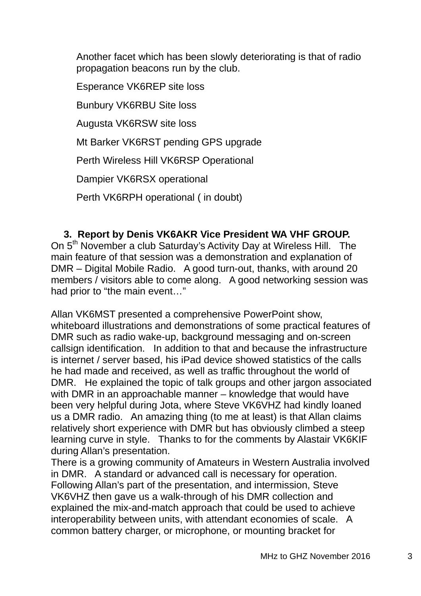Another facet which has been slowly deteriorating is that of radio propagation beacons run by the club.

Esperance VK6REP site loss

Bunbury VK6RBU Site loss

Augusta VK6RSW site loss

Mt Barker VK6RST pending GPS upgrade

Perth Wireless Hill VK6RSP Operational

Dampier VK6RSX operational

Perth VK6RPH operational ( in doubt)

#### **3. Report by Denis VK6AKR Vice President WA VHF GROUP.**

On 5<sup>th</sup> November a club Saturday's Activity Day at Wireless Hill. The main feature of that session was a demonstration and explanation of DMR – Digital Mobile Radio. A good turn-out, thanks, with around 20 members / visitors able to come along. A good networking session was had prior to "the main event…"

Allan VK6MST presented a comprehensive PowerPoint show, whiteboard illustrations and demonstrations of some practical features of DMR such as radio wake-up, background messaging and on-screen callsign identification. In addition to that and because the infrastructure is internet / server based, his iPad device showed statistics of the calls he had made and received, as well as traffic throughout the world of DMR. He explained the topic of talk groups and other jargon associated with DMR in an approachable manner – knowledge that would have been very helpful during Jota, where Steve VK6VHZ had kindly loaned us a DMR radio. An amazing thing (to me at least) is that Allan claims relatively short experience with DMR but has obviously climbed a steep learning curve in style. Thanks to for the comments by Alastair VK6KIF during Allan's presentation.

There is a growing community of Amateurs in Western Australia involved in DMR. A standard or advanced call is necessary for operation. Following Allan's part of the presentation, and intermission, Steve VK6VHZ then gave us a walk-through of his DMR collection and explained the mix-and-match approach that could be used to achieve interoperability between units, with attendant economies of scale. A common battery charger, or microphone, or mounting bracket for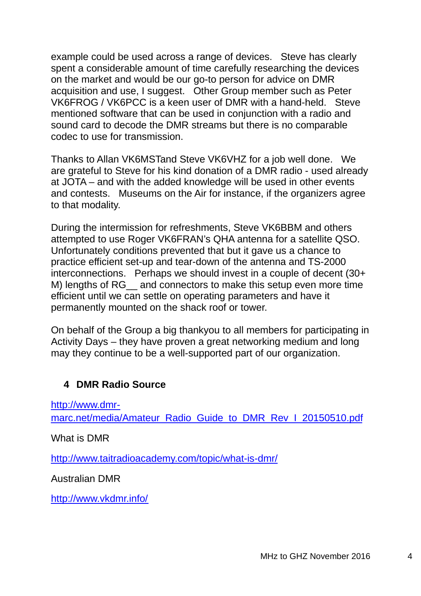example could be used across a range of devices. Steve has clearly spent a considerable amount of time carefully researching the devices on the market and would be our go-to person for advice on DMR acquisition and use, I suggest. Other Group member such as Peter VK6FROG / VK6PCC is a keen user of DMR with a hand-held. Steve mentioned software that can be used in conjunction with a radio and sound card to decode the DMR streams but there is no comparable codec to use for transmission.

Thanks to Allan VK6MSTand Steve VK6VHZ for a job well done. We are grateful to Steve for his kind donation of a DMR radio - used already at JOTA – and with the added knowledge will be used in other events and contests. Museums on the Air for instance, if the organizers agree to that modality.

During the intermission for refreshments, Steve VK6BBM and others attempted to use Roger VK6FRAN's QHA antenna for a satellite QSO. Unfortunately conditions prevented that but it gave us a chance to practice efficient set-up and tear-down of the antenna and TS-2000 interconnections. Perhaps we should invest in a couple of decent (30+ M) lengths of RG and connectors to make this setup even more time efficient until we can settle on operating parameters and have it permanently mounted on the shack roof or tower.

On behalf of the Group a big thankyou to all members for participating in Activity Days – they have proven a great networking medium and long may they continue to be a well-supported part of our organization.

#### **4 DMR Radio Source**

http://www.dmr-

marc.net/media/Amateur\_Radio\_Guide\_to\_DMR\_Rev\_I\_20150510.pdf

What is DMR

http://www.taitradioacademy.com/topic/what-is-dmr/

Australian DMR

http://www.vkdmr.info/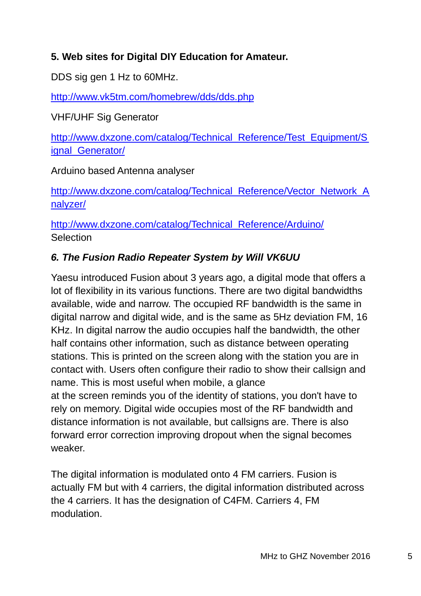## **5. Web sites for Digital DIY Education for Amateur.**

DDS sig gen 1 Hz to 60MHz.

http://www.vk5tm.com/homebrew/dds/dds.php

VHF/UHF Sig Generator

http://www.dxzone.com/catalog/Technical\_Reference/Test\_Equipment/S ignal Generator/

Arduino based Antenna analyser

http://www.dxzone.com/catalog/Technical\_Reference/Vector\_Network\_A nalyzer/

http://www.dxzone.com/catalog/Technical\_Reference/Arduino/ **Selection** 

## *6. The Fusion Radio Repeater System by Will VK6UU*

Yaesu introduced Fusion about 3 years ago, a digital mode that offers a lot of flexibility in its various functions. There are two digital bandwidths available, wide and narrow. The occupied RF bandwidth is the same in digital narrow and digital wide, and is the same as 5Hz deviation FM, 16 KHz. In digital narrow the audio occupies half the bandwidth, the other half contains other information, such as distance between operating stations. This is printed on the screen along with the station you are in contact with. Users often configure their radio to show their callsign and name. This is most useful when mobile, a glance at the screen reminds you of the identity of stations, you don't have to rely on memory. Digital wide occupies most of the RF bandwidth and distance information is not available, but callsigns are. There is also forward error correction improving dropout when the signal becomes

weaker.

The digital information is modulated onto 4 FM carriers. Fusion is actually FM but with 4 carriers, the digital information distributed across the 4 carriers. It has the designation of C4FM. Carriers 4, FM modulation.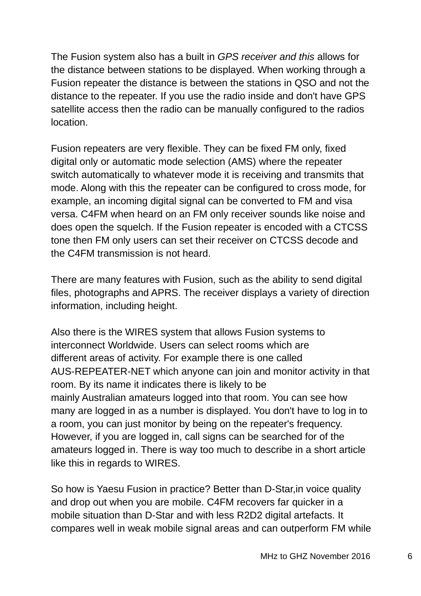The Fusion system also has a built in *GPS receiver and this* allows for the distance between stations to be displayed. When working through a Fusion repeater the distance is between the stations in QSO and not the distance to the repeater. If you use the radio inside and don't have GPS satellite access then the radio can be manually configured to the radios location.

Fusion repeaters are very flexible. They can be fixed FM only, fixed digital only or automatic mode selection (AMS) where the repeater switch automatically to whatever mode it is receiving and transmits that mode. Along with this the repeater can be configured to cross mode, for example, an incoming digital signal can be converted to FM and visa versa. C4FM when heard on an FM only receiver sounds like noise and does open the squelch. If the Fusion repeater is encoded with a CTCSS tone then FM only users can set their receiver on CTCSS decode and the C4FM transmission is not heard.

There are many features with Fusion, such as the ability to send digital files, photographs and APRS. The receiver displays a variety of direction information, including height.

Also there is the WIRES system that allows Fusion systems to interconnect Worldwide. Users can select rooms which are different areas of activity. For example there is one called AUS-REPEATER-NET which anyone can join and monitor activity in that room. By its name it indicates there is likely to be mainly Australian amateurs logged into that room. You can see how many are logged in as a number is displayed. You don't have to log in to a room, you can just monitor by being on the repeater's frequency. However, if you are logged in, call signs can be searched for of the amateurs logged in. There is way too much to describe in a short article like this in regards to WIRES.

So how is Yaesu Fusion in practice? Better than D-Star,in voice quality and drop out when you are mobile. C4FM recovers far quicker in a mobile situation than D-Star and with less R2D2 digital artefacts. It compares well in weak mobile signal areas and can outperform FM while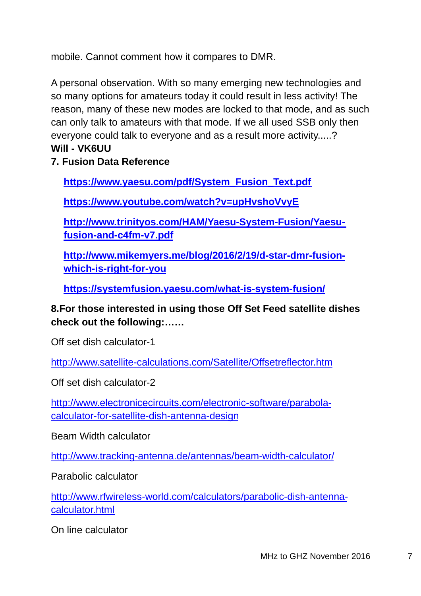mobile. Cannot comment how it compares to DMR.

A personal observation. With so many emerging new technologies and so many options for amateurs today it could result in less activity! The reason, many of these new modes are locked to that mode, and as such can only talk to amateurs with that mode. If we all used SSB only then everyone could talk to everyone and as a result more activity.....? **Will - VK6UU**

**7. Fusion Data Reference** 

**https://www.yaesu.com/pdf/System\_Fusion\_Text.pdf**

**https://www.youtube.com/watch?v=upHvshoVvyE**

**http://www.trinityos.com/HAM/Yaesu-System-Fusion/Yaesufusion-and-c4fm-v7.pdf**

**http://www.mikemyers.me/blog/2016/2/19/d-star-dmr-fusionwhich-is-right-for-you**

**https://systemfusion.yaesu.com/what-is-system-fusion/**

### **8.For those interested in using those Off Set Feed satellite dishes check out the following:……**

Off set dish calculator-1

http://www.satellite-calculations.com/Satellite/Offsetreflector.htm

Off set dish calculator-2

http://www.electronicecircuits.com/electronic-software/parabolacalculator-for-satellite-dish-antenna-design

Beam Width calculator

http://www.tracking-antenna.de/antennas/beam-width-calculator/

Parabolic calculator

http://www.rfwireless-world.com/calculators/parabolic-dish-antennacalculator.html

On line calculator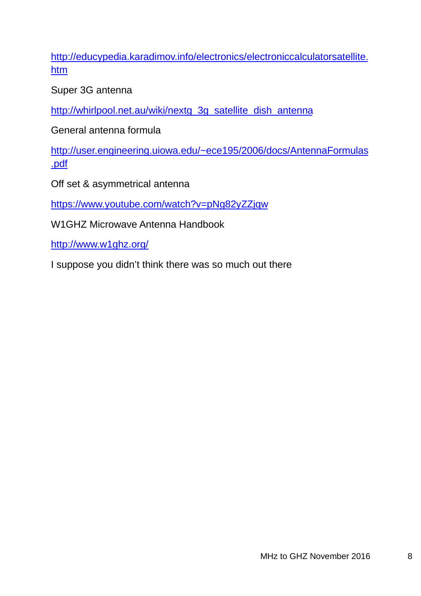http://educypedia.karadimov.info/electronics/electroniccalculatorsatellite. htm

Super 3G antenna

http://whirlpool.net.au/wiki/nextg\_3g\_satellite\_dish\_antenna

General antenna formula

http://user.engineering.uiowa.edu/~ece195/2006/docs/AntennaFormulas .pdf

Off set & asymmetrical antenna

https://www.youtube.com/watch?v=pNg82yZZjqw

W1GHZ Microwave Antenna Handbook

http://www.w1ghz.org/

I suppose you didn't think there was so much out there